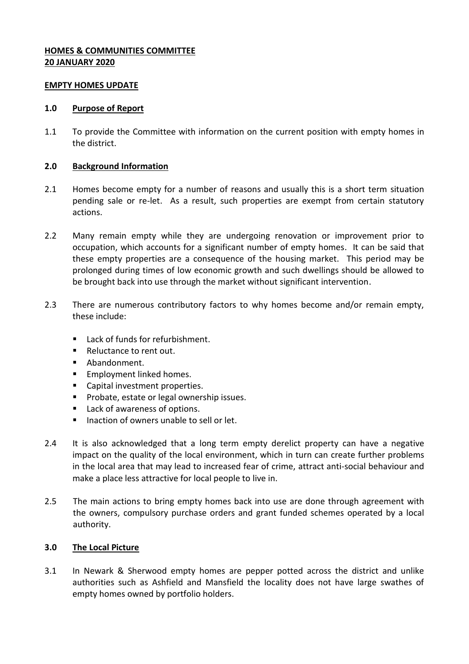# **HOMES & COMMUNITIES COMMITTEE 20 JANUARY 2020**

#### **EMPTY HOMES UPDATE**

#### **1.0 Purpose of Report**

1.1 To provide the Committee with information on the current position with empty homes in the district.

#### **2.0 Background Information**

- 2.1 Homes become empty for a number of reasons and usually this is a short term situation pending sale or re-let. As a result, such properties are exempt from certain statutory actions.
- 2.2 Many remain empty while they are undergoing renovation or improvement prior to occupation, which accounts for a significant number of empty homes. It can be said that these empty properties are a consequence of the housing market. This period may be prolonged during times of low economic growth and such dwellings should be allowed to be brought back into use through the market without significant intervention.
- 2.3 There are numerous contributory factors to why homes become and/or remain empty, these include:
	- Lack of funds for refurbishment.
	- Reluctance to rent out.
	- **Abandonment.**
	- **Employment linked homes.**
	- **Capital investment properties.**
	- **Probate, estate or legal ownership issues.**
	- Lack of awareness of options.
	- $\blacksquare$  Inaction of owners unable to sell or let.
- 2.4 It is also acknowledged that a long term empty derelict property can have a negative impact on the quality of the local environment, which in turn can create further problems in the local area that may lead to increased fear of crime, attract anti-social behaviour and make a place less attractive for local people to live in.
- 2.5 The main actions to bring empty homes back into use are done through agreement with the owners, compulsory purchase orders and grant funded schemes operated by a local authority.

# **3.0 The Local Picture**

3.1 In Newark & Sherwood empty homes are pepper potted across the district and unlike authorities such as Ashfield and Mansfield the locality does not have large swathes of empty homes owned by portfolio holders.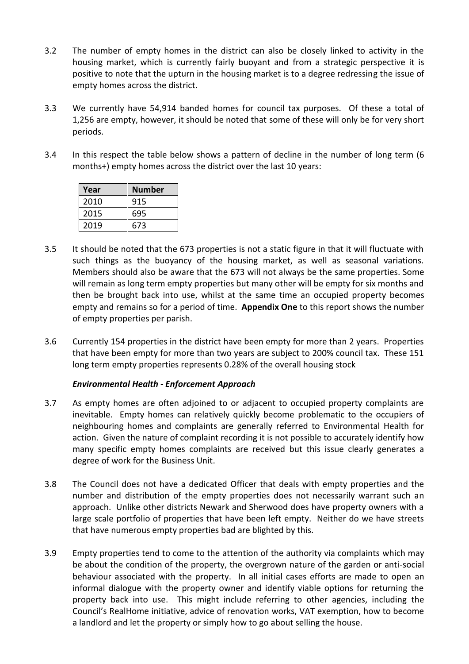- 3.2 The number of empty homes in the district can also be closely linked to activity in the housing market, which is currently fairly buoyant and from a strategic perspective it is positive to note that the upturn in the housing market is to a degree redressing the issue of empty homes across the district.
- 3.3 We currently have 54,914 banded homes for council tax purposes. Of these a total of 1,256 are empty, however, it should be noted that some of these will only be for very short periods.
- 3.4 In this respect the table below shows a pattern of decline in the number of long term (6 months+) empty homes across the district over the last 10 years:

| Year | <b>Number</b> |
|------|---------------|
| 2010 | 915           |
| 2015 | 695           |
| 2019 | 673           |

- 3.5 It should be noted that the 673 properties is not a static figure in that it will fluctuate with such things as the buoyancy of the housing market, as well as seasonal variations. Members should also be aware that the 673 will not always be the same properties. Some will remain as long term empty properties but many other will be empty for six months and then be brought back into use, whilst at the same time an occupied property becomes empty and remains so for a period of time. **Appendix One** to this report shows the number of empty properties per parish.
- 3.6 Currently 154 properties in the district have been empty for more than 2 years. Properties that have been empty for more than two years are subject to 200% council tax. These 151 long term empty properties represents 0.28% of the overall housing stock

# *Environmental Health - Enforcement Approach*

- 3.7 As empty homes are often adjoined to or adjacent to occupied property complaints are inevitable. Empty homes can relatively quickly become problematic to the occupiers of neighbouring homes and complaints are generally referred to Environmental Health for action. Given the nature of complaint recording it is not possible to accurately identify how many specific empty homes complaints are received but this issue clearly generates a degree of work for the Business Unit.
- 3.8 The Council does not have a dedicated Officer that deals with empty properties and the number and distribution of the empty properties does not necessarily warrant such an approach. Unlike other districts Newark and Sherwood does have property owners with a large scale portfolio of properties that have been left empty. Neither do we have streets that have numerous empty properties bad are blighted by this.
- 3.9 Empty properties tend to come to the attention of the authority via complaints which may be about the condition of the property, the overgrown nature of the garden or anti-social behaviour associated with the property. In all initial cases efforts are made to open an informal dialogue with the property owner and identify viable options for returning the property back into use. This might include referring to other agencies, including the Council's RealHome initiative, advice of renovation works, VAT exemption, how to become a landlord and let the property or simply how to go about selling the house.